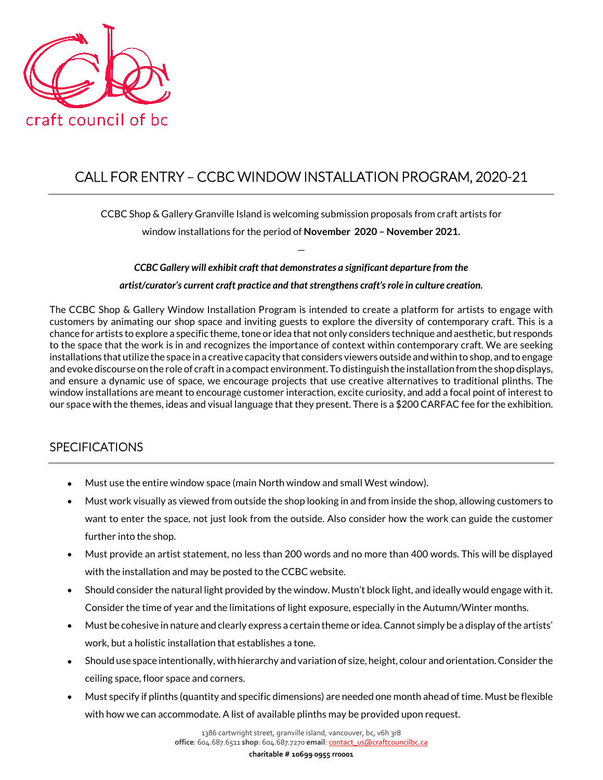

# CALL FOR ENTRY – CCBC WINDOW INSTALLATION PROGRAM, 2020-21

CCBC Shop & Gallery Granville Island is welcoming submission proposals from craft artists for

window installations for the period of **November 2020 – November 2021.** —

*CCBC Gallery will exhibit craft that demonstrates a significant departure from the artist/curator's current craft practice and that strengthens craft's role in culture creation.*

The CCBC Shop & Gallery Window Installation Program is intended to create a platform for artists to engage with customers by animating our shop space and inviting guests to explore the diversity of contemporary craft. This is a chance for artists to explore a specific theme, tone or idea that not only considers technique and aesthetic, but responds to the space that the work is in and recognizes the importance of context within contemporary craft. We are seeking installations that utilize the space in a creative capacity that considers viewers outside and within to shop, and to engage and evoke discourse on the role of craft in a compact environment. To distinguish the installation from the shop displays, and ensure a dynamic use of space, we encourage projects that use creative alternatives to traditional plinths. The window installations are meant to encourage customer interaction, excite curiosity, and add a focal point of interest to our space with the themes, ideas and visual language that they present. There is a \$200 CARFAC fee for the exhibition.

## SPECIFICATIONS

- Must use the entire window space (main North window and small West window).
- Must work visually as viewed from outside the shop looking in and from inside the shop, allowing customers to want to enter the space, not just look from the outside. Also consider how the work can guide the customer further into the shop.
- Must provide an artist statement, no less than 200 words and no more than 400 words. This will be displayed with the installation and may be posted to the CCBC website.
- Should consider the natural light provided by the window. Mustn't block light, and ideally would engage with it. Consider the time of year and the limitations of light exposure, especially in the Autumn/Winter months.
- Must be cohesive in nature and clearly express a certain theme or idea. Cannot simply be a display of the artists' work, but a holistic installation that establishes a tone.
- Should use space intentionally, with hierarchy and variation of size, height, colour and orientation. Consider the ceiling space, floor space and corners.
- Must specify if plinths (quantity and specific dimensions) are needed one month ahead of time. Must be flexible with how we can accommodate. A list of available plinths may be provided upon request.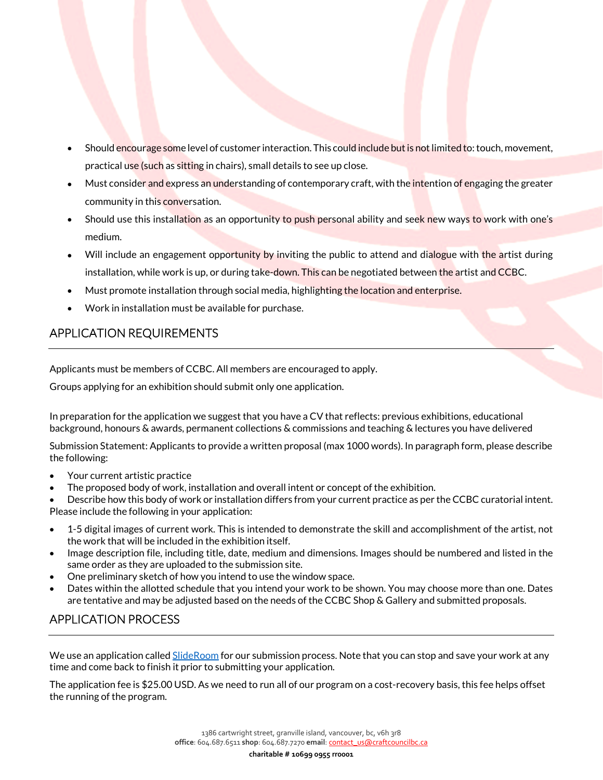- Should encourage some level of customer interaction. This could include but is not limited to: touch, movement, practical use (such as sitting in chairs), small details to see up close.
- Must consider and express an understanding of contemporary craft, with the intention of engaging the greater community in this conversation.
- Should use this installation as an opportunity to push personal ability and seek new ways to work with one's medium.
- Will include an engagement opportunity by inviting the public to attend and dialogue with the artist during installation, while work is up, or during take-down. This can be negotiated between the artist and CCBC.
- Must promote installation through social media, highlighting the location and enterprise.
- Work in installation must be available for purchase.

## APPLICATION REQUIREMENTS

Applicants must be members of CCBC. All members are encouraged to apply.

Groups applying for an exhibition should submit only one application.

In preparation for the application we suggest that you have a CV that reflects: previous exhibitions, educational background, honours & awards, permanent collections & commissions and teaching & lectures you have delivered

Submission Statement: Applicants to provide a written proposal (max 1000 words). In paragraph form, please describe the following:

- Your current artistic practice
- The proposed body of work, installation and overall intent or concept of the exhibition.

• Describe how this body of work or installation differs from your current practice as per the CCBC curatorial intent. Please include the following in your application:

- 1-5 digital images of current work. This is intended to demonstrate the skill and accomplishment of the artist, not the work that will be included in the exhibition itself.
- Image description file, including title, date, medium and dimensions. Images should be numbered and listed in the same order as they are uploaded to the submission site.
- One preliminary sketch of how you intend to use the window space.
- Dates within the allotted schedule that you intend your work to be shown. You may choose more than one. Dates are tentative and may be adjusted based on the needs of the CCBC Shop & Gallery and submitted proposals.

# APPLICATION PROCESS

We use an application calle[d SlideRoom](https://ccbc.slideroom.com/#/permalink/program/47428) for our submission process. Note that you can stop and save your work at any time and come back to finish it prior to submitting your application.

The application fee is \$25.00 USD. As we need to run all of our program on a cost-recovery basis, this fee helps offset the running of the program.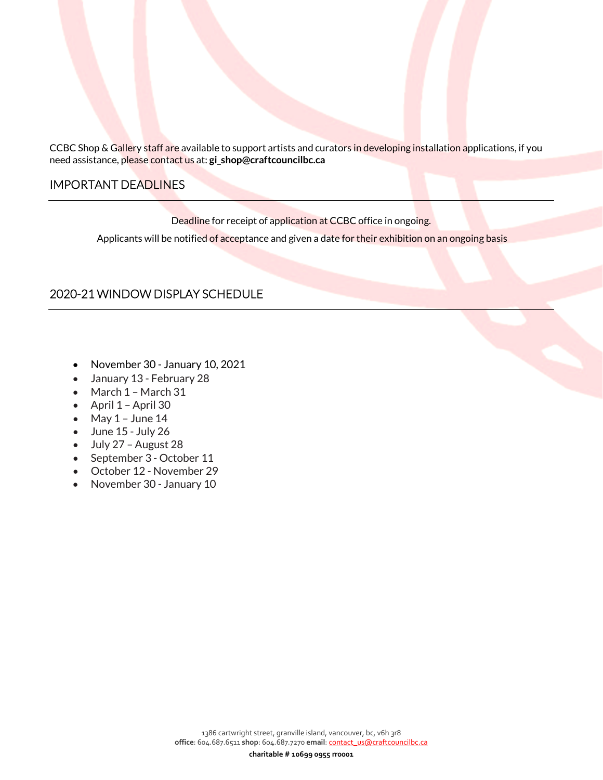CCBC Shop & Gallery staff are available to support artists and curators in developing installation applications, if you need assistance, please contact us at: **gi\_shop@craftcouncilbc.ca**

#### IMPORTANT DEADLINES

Deadline for receipt of application at CCBC office in ongoing.

Applicants will be notified of acceptance and given a date for their exhibition on an ongoing basis

### 2020-21 WINDOW DISPLAY SCHEDULE

- November 30 January 10, 2021
- January 13 February 28
- March 1 March 31
- April 1 April 30
- May  $1 -$  June  $14$
- June 15 July 26
- July 27 August 28
- September 3 October 11
- October 12 November 29
- November 30 January 10